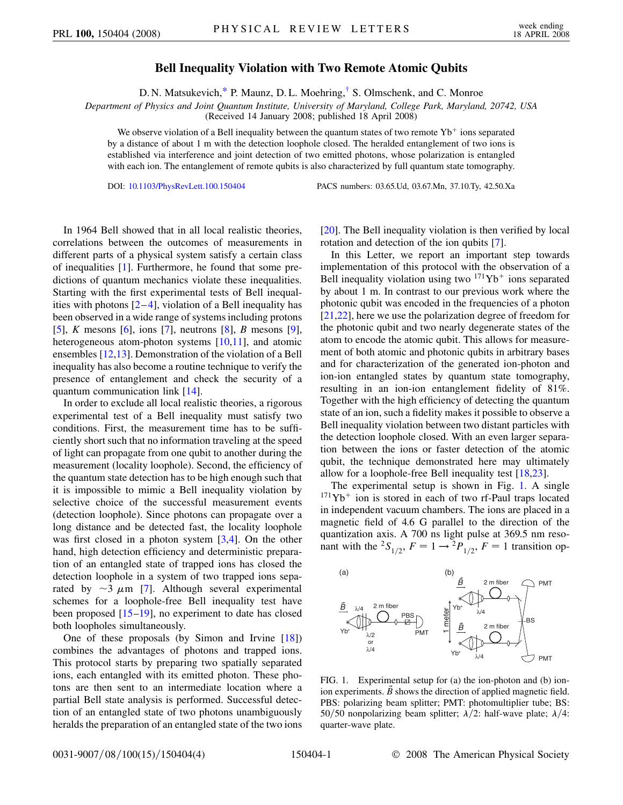## **Bell Inequality Violation with Two Remote Atomic Qubits**

D. N. Matsukevich[,\\*](#page-3-0) P. Maunz, D. L. Moehring,[†](#page-3-1) S. Olmschenk, and C. Monroe

<span id="page-0-2"></span>*Department of Physics and Joint Quantum Institute, University of Maryland, College Park, Maryland, 20742, USA*

(Received 14 January 2008; published 18 April 2008)

We observe violation of a Bell inequality between the quantum states of two remote  $Yb^+$  ions separated by a distance of about 1 m with the detection loophole closed. The heralded entanglement of two ions is established via interference and joint detection of two emitted photons, whose polarization is entangled with each ion. The entanglement of remote qubits is also characterized by full quantum state tomography.

DOI: [10.1103/PhysRevLett.100.150404](http://dx.doi.org/10.1103/PhysRevLett.100.150404) PACS numbers: 03.65.Ud, 03.67.Mn, 37.10.Ty, 42.50.Xa

In 1964 Bell showed that in all local realistic theories, correlations between the outcomes of measurements in different parts of a physical system satisfy a certain class of inequalities [[1](#page-3-2)]. Furthermore, he found that some predictions of quantum mechanics violate these inequalities. Starting with the first experimental tests of Bell inequalities with photons  $[2-4]$  $[2-4]$  $[2-4]$  $[2-4]$ , violation of a Bell inequality has been observed in a wide range of systems including protons [\[5\]](#page-3-5), *K* mesons [\[6\]](#page-3-6), ions [[7\]](#page-3-7), neutrons [[8\]](#page-3-8), *B* mesons [[9\]](#page-3-9), heterogeneous atom-photon systems [\[10](#page-3-10)[,11\]](#page-3-11), and atomic ensembles [\[12,](#page-3-12)[13\]](#page-3-13). Demonstration of the violation of a Bell inequality has also become a routine technique to verify the presence of entanglement and check the security of a quantum communication link [[14](#page-3-14)].

In order to exclude all local realistic theories, a rigorous experimental test of a Bell inequality must satisfy two conditions. First, the measurement time has to be sufficiently short such that no information traveling at the speed of light can propagate from one qubit to another during the measurement (locality loophole). Second, the efficiency of the quantum state detection has to be high enough such that it is impossible to mimic a Bell inequality violation by selective choice of the successful measurement events (detection loophole). Since photons can propagate over a long distance and be detected fast, the locality loophole was first closed in a photon system [\[3](#page-3-15)[,4](#page-3-4)]. On the other hand, high detection efficiency and deterministic preparation of an entangled state of trapped ions has closed the detection loophole in a system of two trapped ions separated by  $\sim$ 3  $\mu$ m [\[7](#page-3-7)]. Although several experimental schemes for a loophole-free Bell inequality test have been proposed [\[15](#page-3-16)–[19](#page-3-17)], no experiment to date has closed both loopholes simultaneously.

One of these proposals (by Simon and Irvine [[18](#page-3-18)]) combines the advantages of photons and trapped ions. This protocol starts by preparing two spatially separated ions, each entangled with its emitted photon. These photons are then sent to an intermediate location where a partial Bell state analysis is performed. Successful detection of an entangled state of two photons unambiguously heralds the preparation of an entangled state of the two ions [\[20\]](#page-3-19). The Bell inequality violation is then verified by local rotation and detection of the ion qubits [[7\]](#page-3-7).

In this Letter, we report an important step towards implementation of this protocol with the observation of a Bell inequality violation using two  $171Yb<sup>+</sup>$  ions separated by about 1 m. In contrast to our previous work where the photonic qubit was encoded in the frequencies of a photon [\[21](#page-3-20)[,22\]](#page-3-21), here we use the polarization degree of freedom for the photonic qubit and two nearly degenerate states of the atom to encode the atomic qubit. This allows for measurement of both atomic and photonic qubits in arbitrary bases and for characterization of the generated ion-photon and ion-ion entangled states by quantum state tomography, resulting in an ion-ion entanglement fidelity of 81%. Together with the high efficiency of detecting the quantum state of an ion, such a fidelity makes it possible to observe a Bell inequality violation between two distant particles with the detection loophole closed. With an even larger separation between the ions or faster detection of the atomic qubit, the technique demonstrated here may ultimately allow for a loophole-free Bell inequality test [\[18](#page-3-18)[,23\]](#page-3-22).

The experimental setup is shown in Fig. [1](#page-0-0). A single  $171\text{Yb}^+$  ion is stored in each of two rf-Paul traps located in independent vacuum chambers. The ions are placed in a magnetic field of 4.6 G parallel to the direction of the quantization axis. A 700 ns light pulse at 369.5 nm resonant with the <sup>2</sup>S<sub>1/2</sub>,  $F = 1 \rightarrow {}^{2}P_{1/2}$ ,  $F = 1$  transition op-

<span id="page-0-0"></span>

<span id="page-0-1"></span>FIG. 1. Experimental setup for (a) the ion-photon and (b) ionion experiments.  $\vec{B}$  shows the direction of applied magnetic field. PBS: polarizing beam splitter; PMT: photomultiplier tube; BS: 50/50 nonpolarizing beam splitter;  $\lambda/2$ : half-wave plate;  $\lambda/4$ : quarter-wave plate.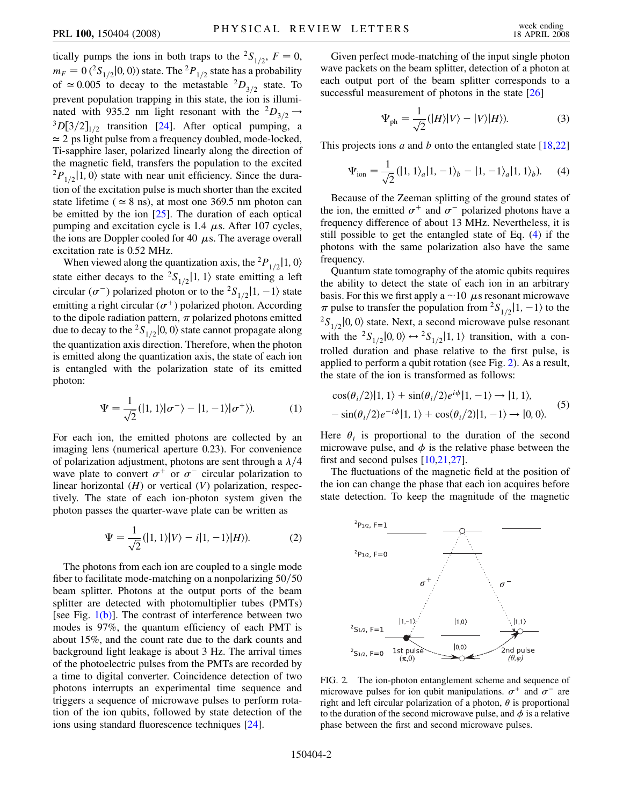tically pumps the ions in both traps to the <sup>2</sup>*S*<sub>1/2</sub>, *F* = 0,  $m_F = 0$  (<sup>2</sup>S<sub>1/2</sub> | 0, 0) state. The <sup>2</sup>P<sub>1/2</sub> state has a probability of  $\approx 0.005$  to decay to the metastable  ${}^{2}D_{3/2}$  state. To prevent population trapping in this state, the ion is illuminated with 935.2 nm light resonant with the  ${}^{2}D_{3/2} \rightarrow {}^{3}D[3/2]_{1/2}$  transition [[24](#page-3-23)]. After optical pumping, a  $\simeq$  2 ps light pulse from a frequency doubled, mode-locked, Ti-sapphire laser, polarized linearly along the direction of the magnetic field, transfers the population to the excited  ${}^{2}P_{1/2}$ 1, 0) state with near unit efficiency. Since the duration of the excitation pulse is much shorter than the excited state lifetime ( $\simeq$  8 ns), at most one 369.5 nm photon can be emitted by the ion [\[25\]](#page-3-24). The duration of each optical pumping and excitation cycle is  $1.4 \mu s$ . After 107 cycles, the ions are Doppler cooled for 40  $\mu$ s. The average overall excitation rate is 0.52 MHz.

When viewed along the quantization axis, the <sup>2</sup> $P_{1/2}$ [1, 0) state either decays to the <sup>2</sup>S<sub>1/2</sub>|1, 1) state emitting a left circular ( $\sigma^{-}$ ) polarized photon or to the <sup>2</sup>*S*<sub>1/2</sub></sub> $|1, -1\rangle$  state emitting a right circular ( $\sigma^+$ ) polarized photon. According to the dipole radiation pattern,  $\pi$  polarized photons emitted due to decay to the <sup>2</sup>S<sub>1/2</sub> $\vert$ 0*;* 0 $\rangle$  state cannot propagate along the quantization axis direction. Therefore, when the photon is emitted along the quantization axis, the state of each ion is entangled with the polarization state of its emitted photon:

$$
\Psi = \frac{1}{\sqrt{2}}(|1,1\rangle|\sigma^{-}\rangle - |1,-1\rangle|\sigma^{+}\rangle). \tag{1}
$$

For each ion, the emitted photons are collected by an imaging lens (numerical aperture 0.23). For convenience of polarization adjustment, photons are sent through a  $\lambda/4$ wave plate to convert  $\sigma^+$  or  $\sigma^-$  circular polarization to linear horizontal (*H*) or vertical (*V*) polarization, respectively. The state of each ion-photon system given the photon passes the quarter-wave plate can be written as

$$
\Psi = \frac{1}{\sqrt{2}}(|1,1\rangle|V\rangle - i|1,-1\rangle|H\rangle). \tag{2}
$$

The photons from each ion are coupled to a single mode fiber to facilitate mode-matching on a nonpolarizing  $50/50$ beam splitter. Photons at the output ports of the beam splitter are detected with photomultiplier tubes (PMTs) [see Fig. [1\(b\)](#page-0-1)]. The contrast of interference between two modes is 97%, the quantum efficiency of each PMT is about 15%, and the count rate due to the dark counts and background light leakage is about 3 Hz. The arrival times of the photoelectric pulses from the PMTs are recorded by a time to digital converter. Coincidence detection of two photons interrupts an experimental time sequence and triggers a sequence of microwave pulses to perform rotation of the ion qubits, followed by state detection of the ions using standard fluorescence techniques [\[24\]](#page-3-23).

Given perfect mode-matching of the input single photon wave packets on the beam splitter, detection of a photon at each output port of the beam splitter corresponds to a successful measurement of photons in the state [[26](#page-3-25)]

$$
\Psi_{\text{ph}} = \frac{1}{\sqrt{2}} (|H\rangle |V\rangle - |V\rangle |H\rangle). \tag{3}
$$

<span id="page-1-0"></span>This projects ions *a* and *b* onto the entangled state [\[18,](#page-3-18)[22\]](#page-3-21)

$$
\Psi_{\text{ion}} = \frac{1}{\sqrt{2}} (|1, 1\rangle_a |1, -1\rangle_b - |1, -1\rangle_a |1, 1\rangle_b). \tag{4}
$$

Because of the Zeeman splitting of the ground states of the ion, the emitted  $\sigma^+$  and  $\sigma^-$  polarized photons have a frequency difference of about 13 MHz. Nevertheless, it is still possible to get the entangled state of Eq. ([4\)](#page-1-0) if the photons with the same polarization also have the same frequency.

Quantum state tomography of the atomic qubits requires the ability to detect the state of each ion in an arbitrary basis. For this we first apply a  $\sim$  10  $\mu$ s resonant microwave  $\pi$  pulse to transfer the population from <sup>2</sup>*S*<sub>1/2</sub></sub> $|1, -1\rangle$  to the  ${}^{2}S_{1/2}$ [0, 0) state. Next, a second microwave pulse resonant with the <sup>2</sup>S<sub>1/2</sub>|0, 0)  $\leftrightarrow$  <sup>2</sup>S<sub>1/2</sub>|1, 1) transition, with a controlled duration and phase relative to the first pulse, is applied to perform a qubit rotation (see Fig. [2\)](#page-1-1). As a result, the state of the ion is transformed as follows:

$$
\cos(\theta_i/2)|1,1\rangle + \sin(\theta_i/2)e^{i\phi}|1,-1\rangle \rightarrow |1,1\rangle,
$$
  
 
$$
-\sin(\theta_i/2)e^{-i\phi}|1,1\rangle + \cos(\theta_i/2)|1,-1\rangle \rightarrow |0,0\rangle.
$$
 (5)

Here  $\theta_i$  is proportional to the duration of the second microwave pulse, and  $\phi$  is the relative phase between the first and second pulses [\[10,](#page-3-10)[21,](#page-3-20)[27\]](#page-3-26).

The fluctuations of the magnetic field at the position of the ion can change the phase that each ion acquires before state detection. To keep the magnitude of the magnetic

<span id="page-1-1"></span>

FIG. 2. The ion-photon entanglement scheme and sequence of microwave pulses for ion qubit manipulations.  $\sigma^+$  and  $\sigma^-$  are right and left circular polarization of a photon,  $\theta$  is proportional to the duration of the second microwave pulse, and  $\phi$  is a relative phase between the first and second microwave pulses.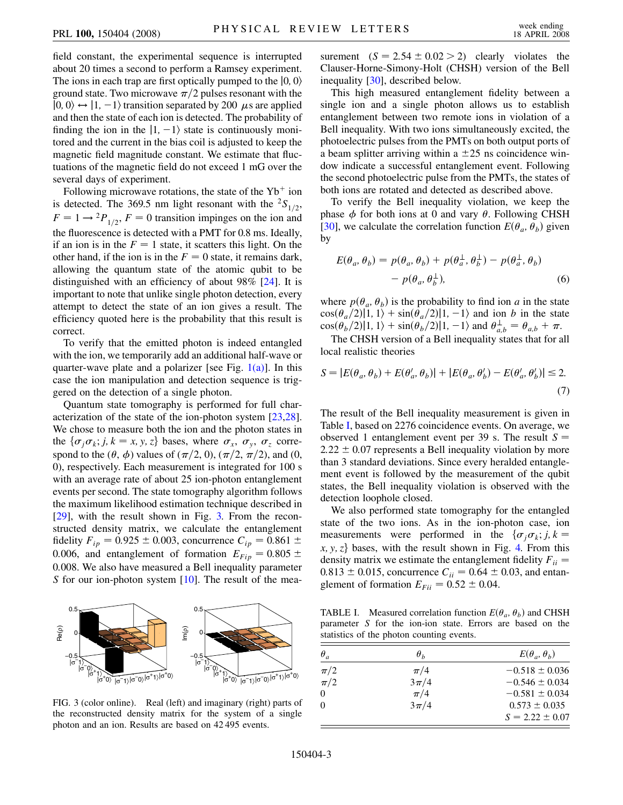field constant, the experimental sequence is interrupted about 20 times a second to perform a Ramsey experiment. The ions in each trap are first optically pumped to the  $|0, 0\rangle$ ground state. Two microwave  $\pi/2$  pulses resonant with the  $|0, 0\rangle \leftrightarrow |1, -1\rangle$  transition separated by 200  $\mu$ s are applied and then the state of each ion is detected. The probability of finding the ion in the  $|1, -1\rangle$  state is continuously monitored and the current in the bias coil is adjusted to keep the magnetic field magnitude constant. We estimate that fluctuations of the magnetic field do not exceed 1 mG over the several days of experiment.

Following microwave rotations, the state of the  $Yb^+$  ion is detected. The 369.5 nm light resonant with the  ${}^{2}S_{1/2}$ ,  $F = 1 \rightarrow {}^{2}P_{1/2}$ ,  $F = 0$  transition impinges on the ion and the fluorescence is detected with a PMT for 0.8 ms. Ideally, if an ion is in the  $F = 1$  state, it scatters this light. On the other hand, if the ion is in the  $F = 0$  state, it remains dark, allowing the quantum state of the atomic qubit to be distinguished with an efficiency of about 98% [\[24\]](#page-3-23). It is important to note that unlike single photon detection, every attempt to detect the state of an ion gives a result. The efficiency quoted here is the probability that this result is correct.

To verify that the emitted photon is indeed entangled with the ion, we temporarily add an additional half-wave or quarter-wave plate and a polarizer [see Fig.  $1(a)$ ]. In this case the ion manipulation and detection sequence is triggered on the detection of a single photon.

Quantum state tomography is performed for full characterization of the state of the ion-photon system [\[23](#page-3-22)[,28\]](#page-3-27). We chose to measure both the ion and the photon states in the  $\{\sigma_i \sigma_k; j, k = x, y, z\}$  bases, where  $\sigma_x$ ,  $\sigma_y$ ,  $\sigma_z$  correspond to the  $(\theta, \phi)$  values of  $(\pi/2, 0)$ ,  $(\pi/2, \pi/2)$ , and  $(0, \phi)$ 0), respectively. Each measurement is integrated for 100 s with an average rate of about 25 ion-photon entanglement events per second. The state tomography algorithm follows the maximum likelihood estimation technique described in [\[29\]](#page-3-28), with the result shown in Fig. [3.](#page-2-0) From the reconstructed density matrix, we calculate the entanglement fidelity  $F_{ip} = 0.925 \pm 0.003$ , concurrence  $C_{ip} = 0.861 \pm 0.003$ 0.006, and entanglement of formation  $E_{Fip} = 0.805 \pm 0.006$ 0*:*008. We also have measured a Bell inequality parameter *S* for our ion-photon system [\[10\]](#page-3-10). The result of the mea-

<span id="page-2-0"></span>

FIG. 3 (color online). Real (left) and imaginary (right) parts of the reconstructed density matrix for the system of a single photon and an ion. Results are based on 42 495 events.

surement  $(S = 2.54 \pm 0.02 > 2)$  clearly violates the Clauser-Horne-Simony-Holt (CHSH) version of the Bell inequality [[30\]](#page-3-29), described below.

This high measured entanglement fidelity between a single ion and a single photon allows us to establish entanglement between two remote ions in violation of a Bell inequality. With two ions simultaneously excited, the photoelectric pulses from the PMTs on both output ports of a beam splitter arriving within a  $\pm 25$  ns coincidence window indicate a successful entanglement event. Following the second photoelectric pulse from the PMTs, the states of both ions are rotated and detected as described above.

To verify the Bell inequality violation, we keep the phase  $\phi$  for both ions at 0 and vary  $\theta$ . Following CHSH [\[30\]](#page-3-29), we calculate the correlation function  $E(\theta_a, \theta_b)$  given by

$$
E(\theta_a, \theta_b) = p(\theta_a, \theta_b) + p(\theta_a^{\perp}, \theta_b^{\perp}) - p(\theta_a^{\perp}, \theta_b)
$$

$$
- p(\theta_a, \theta_b^{\perp}), \qquad (6)
$$

where  $p(\theta_a, \theta_b)$  is the probability to find ion *a* in the state  $\cos(\theta_a/2)$ |1, 1) +  $\sin(\theta_a/2)$ |1, -1) and ion *b* in the state  $\cos(\theta_b/2) |1, 1\rangle + \sin(\theta_b/2) |1, -1\rangle$  and  $\theta_{a,b}^{\perp} = \theta_{a,b} + \pi$ .

The CHSH version of a Bell inequality states that for all local realistic theories

$$
S = |E(\theta_a, \theta_b) + E(\theta'_a, \theta_b)| + |E(\theta_a, \theta'_b) - E(\theta'_a, \theta'_b)| \le 2.
$$
\n(7)

The result of the Bell inequality measurement is given in Table [I](#page-2-1), based on 2276 coincidence events. On average, we observed 1 entanglement event per 39 s. The result *S*  $2.22 \pm 0.07$  represents a Bell inequality violation by more than 3 standard deviations. Since every heralded entanglement event is followed by the measurement of the qubit states, the Bell inequality violation is observed with the detection loophole closed.

We also performed state tomography for the entangled state of the two ions. As in the ion-photon case, ion measurements were performed in the  $\{\sigma_j \sigma_k; j, k =$  $x, y, z$  bases, with the result shown in Fig. [4.](#page-3-30) From this density matrix we estimate the entanglement fidelity  $F_{ii}$  =  $0.813 \pm 0.015$ , concurrence  $C_{ii} = 0.64 \pm 0.03$ , and entanglement of formation  $E_{Fii} = 0.52 \pm 0.04$ .

<span id="page-2-1"></span>TABLE I. Measured correlation function  $E(\theta_a, \theta_b)$  and CHSH parameter *S* for the ion-ion state. Errors are based on the statistics of the photon counting events.

| $\theta_a$ | $\theta_h$ | $E(\theta_a, \theta_b)$ |
|------------|------------|-------------------------|
| $\pi/2$    | $\pi/4$    | $-0.518 \pm 0.036$      |
| $\pi/2$    | $3\pi/4$   | $-0.546 \pm 0.034$      |
| $\Omega$   | $\pi/4$    | $-0.581 \pm 0.034$      |
| $\Omega$   | $3\pi/4$   | $0.573 \pm 0.035$       |
|            |            | $S = 2.22 \pm 0.07$     |